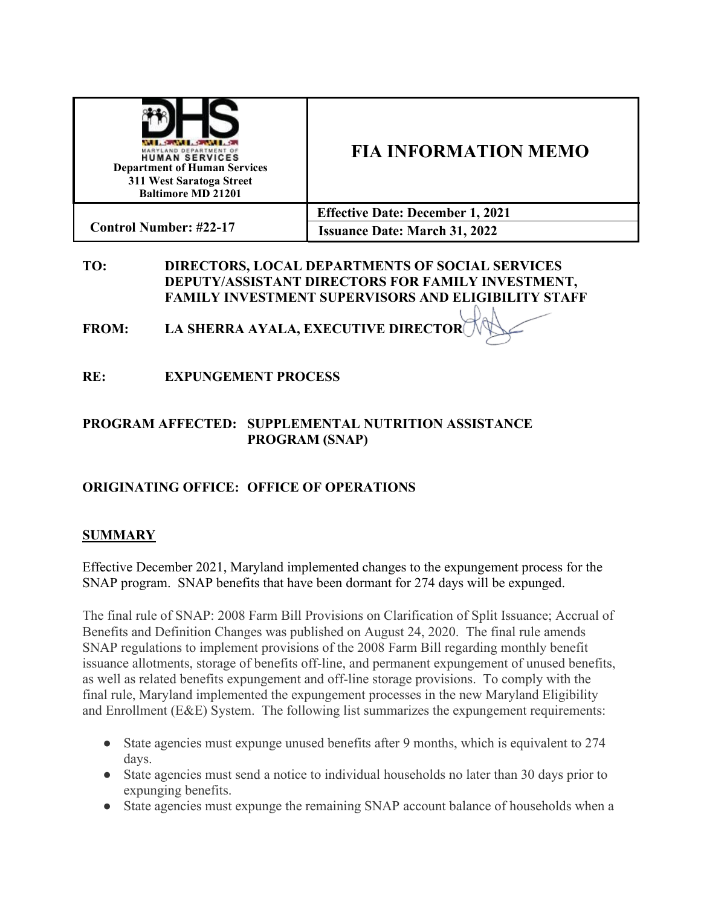| <b>BERTHDIS AND LOCAL PROPERTY</b><br>YLAND DEPARTMENT OF<br><b>HUMAN SERVICES</b><br><b>Department of Human Services</b><br>311 West Saratoga Street<br><b>Baltimore MD 21201</b> | <b>FIA INFORMATION MEMO</b>             |
|------------------------------------------------------------------------------------------------------------------------------------------------------------------------------------|-----------------------------------------|
|                                                                                                                                                                                    | <b>Effective Date: December 1, 2021</b> |
| <b>Control Number: #22-17</b>                                                                                                                                                      | <b>Issuance Date: March 31, 2022</b>    |

### **TO: DIRECTORS, LOCAL DEPARTMENTS OF SOCIAL SERVICES DEPUTY/ASSISTANT DIRECTORS FOR FAMILY INVESTMENT, FAMILY INVESTMENT SUPERVISORS AND ELIGIBILITY STAFF**

**FROM: LA SHERRA AYALA, EXECUTIVE DIRECTOR**

**RE: EXPUNGEMENT PROCESS**

### **PROGRAM AFFECTED: SUPPLEMENTAL NUTRITION ASSISTANCE PROGRAM (SNAP)**

# **ORIGINATING OFFICE: OFFICE OF OPERATIONS**

# **SUMMARY**

Effective December 2021, Maryland implemented changes to the expungement process for the SNAP program. SNAP benefits that have been dormant for 274 days will be expunged.

The final rule of SNAP: 2008 Farm Bill Provisions on Clarification of Split Issuance; Accrual of Benefits and Definition Changes was published on August 24, 2020. The final rule amends SNAP regulations to implement provisions of the 2008 Farm Bill regarding monthly benefit issuance allotments, storage of benefits off-line, and permanent expungement of unused benefits, as well as related benefits expungement and off-line storage provisions. To comply with the final rule, Maryland implemented the expungement processes in the new Maryland Eligibility and Enrollment (E&E) System. The following list summarizes the expungement requirements:

- State agencies must expunge unused benefits after 9 months, which is equivalent to 274 days.
- State agencies must send a notice to individual households no later than 30 days prior to expunging benefits.
- State agencies must expunge the remaining SNAP account balance of households when a